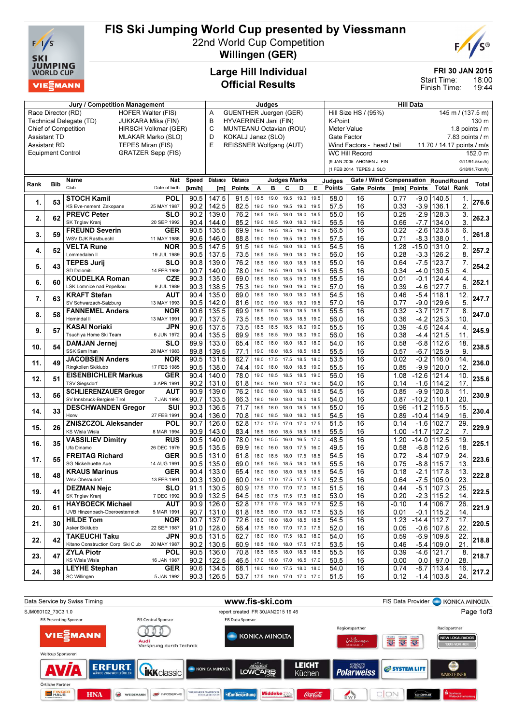

# FIS Ski Jumping World Cup presented by Viessmann

22nd World Cup Competition



Willingen (GER)

### Large Hill Individual Official Results

#### FRI 30 JAN 2015

18:00 19:44 Start Time: Finish Time:

| <b>Jury / Competition Management</b>                |                                                 |                                    |                           |             |                 | Judges                                        |      |                          |      |                     |      | <b>Hill Data</b>                          |                                     |         |                     |                            |                   |               |
|-----------------------------------------------------|-------------------------------------------------|------------------------------------|---------------------------|-------------|-----------------|-----------------------------------------------|------|--------------------------|------|---------------------|------|-------------------------------------------|-------------------------------------|---------|---------------------|----------------------------|-------------------|---------------|
|                                                     | Race Director (RD)<br><b>HOFER Walter (FIS)</b> |                                    |                           |             |                 | <b>GUENTHER Juergen (GER)</b><br>Α            |      |                          |      |                     |      | Hill Size HS / (95%)<br>145 m / (137.5 m) |                                     |         |                     |                            |                   |               |
| Technical Delegate (TD)<br>JUKKARA Mika (FIN)       |                                                 |                                    |                           |             | B               | HYVAERINEN Jani (FIN)<br>K-Point              |      |                          |      |                     |      |                                           |                                     | 130 m   |                     |                            |                   |               |
| <b>Chief of Competition</b><br>HIRSCH Volkmar (GER) |                                                 |                                    |                           |             | C               | MUNTEANU Octavian (ROU)<br><b>Meter Value</b> |      |                          |      |                     |      |                                           |                                     |         |                     | 1.8 points $/$ m           |                   |               |
|                                                     | <b>Assistant TD</b>                             |                                    | MLAKAR Marko (SLO)        |             | D               | KOKALJ Janez (SLO)<br>Gate Factor             |      |                          |      |                     |      |                                           |                                     |         | $7.83$ points $/ m$ |                            |                   |               |
|                                                     | <b>Assistant RD</b>                             | TEPES Miran (FIS)                  |                           |             | E               | REISSNER Wolfgang (AUT)                       |      |                          |      |                     |      |                                           | Wind Factors - head / tail          |         |                     | 11.70 / 14.17 points / m/s |                   |               |
|                                                     | <b>Equipment Control</b>                        |                                    | <b>GRATZER Sepp (FIS)</b> |             |                 |                                               |      |                          |      |                     |      |                                           | <b>WC Hill Record</b>               |         |                     |                            |                   | 152.0 m       |
|                                                     |                                                 |                                    |                           |             |                 |                                               |      |                          |      |                     |      |                                           | (9 JAN 2005 AHONEN J. FIN           |         |                     |                            |                   | G11/91.5km/h) |
|                                                     |                                                 |                                    |                           |             |                 |                                               |      |                          |      |                     |      |                                           | (1 FEB 2014 TEPES J. SLO            |         |                     |                            |                   | G18/91.7km/h) |
|                                                     |                                                 | Name                               | Nat                       | Speed       | <b>Distance</b> | Distance                                      |      |                          |      | <b>Judges Marks</b> |      | Judges                                    | Gate / Wind Compensation RoundRound |         |                     |                            |                   |               |
| Rank                                                | <b>Bib</b>                                      | Club                               | Date of birth             | [km/h]      | [m]             | Points                                        | A    | B                        | c    | D                   | Е    | Points                                    | Gate Points                         |         | [m/s] Points        |                            | <b>Total Rank</b> | <b>Total</b>  |
|                                                     |                                                 | <b>STOCH Kamil</b>                 | POL                       | 90.5        | 147.5           | 91.5                                          | 19.5 | 19.0                     | 19.5 | 19.0                | 19.5 | 58.0                                      | 16                                  | 0.77    | $-9.0$              | 140.5                      |                   |               |
| 1.                                                  | 53                                              | KS Eve-nement Zakopane             | 25 MAY 1987               | 90.2        | 142.5           | 82.5                                          | 19.0 | 19.0                     | 19.5 | 19.0                | 19.5 | 57.5                                      | 16                                  | 0.33    | $-3.9$              | 136.1                      | 1.<br>2.          | 276.6         |
|                                                     |                                                 | <b>PREVC Peter</b>                 | <b>SLO</b>                | 90.2        | 139.0           | 76.2                                          | 18.5 | 18.5                     | 18.0 | 18.0                | 18.5 | 55.0                                      | 16                                  | 0.25    | $-2.9$              | 128.3                      |                   |               |
| 2.                                                  | 62                                              |                                    |                           |             |                 |                                               |      |                          |      |                     |      |                                           |                                     |         |                     |                            | 3.                | 262.3         |
|                                                     |                                                 | SK Triglav Kranj                   | 20 SEP 1992               | 90.4        | 144.0           | 85.2                                          | 19.0 | 18.5                     | 19.0 | 18.0 19.0           |      | 56.5                                      | 16                                  | 0.66    | $-7.7$              | 134.0                      | 3.                |               |
| 3.                                                  | 59                                              | <b>FREUND Severin</b>              | <b>GER</b>                | 90.5        | 135.5           | 69.9                                          | 19.0 | 18.5                     | 18.5 | 19.0                | 19.0 | 56.5                                      | 16                                  | 0.22    | $-2.6$              | 123.8                      | 6.                | 261.8         |
|                                                     |                                                 | WSV DJK Rastbuechl                 | 11 MAY 1988               | 90.6        | 146.0           | 88.8                                          | 19.0 | 19.0                     | 19.5 | 19.0                | 19.5 | 57.5                                      | 16                                  | 0.71    | $-8.3$              | 138.0                      | $\mathbf 1$       |               |
| 4.                                                  | 52                                              | <b>VELTA Rune</b>                  | <b>NOR</b>                | 90.5        | 147.5           | 91.5                                          | 18.5 | 16.5                     | 18.0 | 18.0                | 18.5 | 54.5                                      | $\overline{16}$                     | 1.28    | $-15.0$             | 131.0                      | 2.                | 257.2         |
|                                                     |                                                 | Lommedalen II                      | 19 JUL 1989               | 90.5        | 137.5           | 73.5                                          | 18.5 | 18.5                     | 19.0 | 18.0                | 19.0 | 56.0                                      | 16                                  | 0.28    | $-3.3$              | 126.2                      | 8                 |               |
| 5.                                                  | 43                                              | <b>TEPES Jurij</b>                 | SLO                       | 90.8        | 139.0           | $\overline{76.2}$                             | 18.5 | 18.0                     | 18.0 | 18.5                | 18.5 | 55.0                                      | $\overline{16}$                     | 0.64    | $-7.5$              | 123.7                      | 7.                | 254.2         |
|                                                     |                                                 | SD Dolomiti                        | 14 FEB 1989               | 90.7        | 140.0           | 78.0                                          | 19.0 | 18.5                     | 19.0 | 18.5                | 19.5 | 56.5                                      | 16                                  | 0.34    | $-4.0$              | 130.5                      | $\overline{4}$    |               |
| 6.                                                  | 60                                              | <b>KOUDELKA Roman</b>              | <b>CZE</b>                | 90.3        | 135.0           | 69.0                                          | 18.5 | 18.0                     | 18.5 | 19.0                | 18.5 | 55.5                                      | $\overline{16}$                     | 0.01    | $-0.1$              | 124.4                      | 4.                | 252.1         |
|                                                     |                                                 | LSK Lomnice nad Popelkou           | 9 JUL 1989                | 90.3        | 138.5           | 75.3                                          | 19.0 | 18.0                     | 19.0 | 19.0                | 19.0 | 57.0                                      | 16                                  | 0.39    | $-4.6$              | 127.7                      | 6.                |               |
| 7.                                                  | 63                                              | <b>KRAFT Stefan</b>                | AUT                       | 90.4        | 135.0           | 69.0                                          | 18.5 | 18.0                     | 18.0 | 18.0                | 18.5 | 54.5                                      | $\overline{16}$                     | 0.46    | $-5.4$              | 118.1                      | 12.               | 247.7         |
|                                                     |                                                 | SV Schwarzach-Salzburg             | 13 MAY 1993               | 90.5        | 142.0           | 81.6                                          | 19.0 | 19.0                     | 18.5 | 19.0                | 19.5 | 57.0                                      | 16                                  | 0.77    | $-9.0$              | 129.6                      | 5.                |               |
| 8.                                                  | 58                                              | <b>FANNEMEL Anders</b>             | <b>NOR</b>                | 90.6        | 135.5           | 69.9                                          | 18.5 | 18.5                     | 18.0 | 18.5                | 18.5 | 55.5                                      | 16                                  | 0.32    | $-3.7$              | 121.7                      | 8.                | 247.0         |
|                                                     |                                                 | Hornindal II                       | 13 MAY 1991               | 90.7        | 137.5           | 73.5                                          | 18.5 | 19.0                     |      | 18.5 18.5 19.0      |      | 56.0                                      | 16                                  | 0.36    | $-4.2$              | 125.3                      | 10 <sub>1</sub>   |               |
|                                                     | 57                                              | <b>KASAI Noriaki</b>               | JPN                       | 90.6        | 137.5           | 73.5                                          | 18.5 | 18.5                     | 18.5 | 18.0                | 19.0 | 55.5                                      | $\overline{16}$                     | 0.39    | $-4.6$              | 124.4                      | 4.                | 245.9         |
| 9.                                                  |                                                 | Tsuchiva Home Ski Team             | 6 JUN 1972                | 90.4        | 135.5           | 69.9                                          | 18.5 | 18.5                     | 19.0 | 18.0 19.0           |      | 56.0                                      | 16                                  | 0.38    | -4.4                | 121.5                      | 11                |               |
|                                                     | 54                                              | <b>DAMJAN Jernej</b>               | SLO                       | 89.9        | 133.0           | 65.4                                          | 18.0 | 18.0                     | 18.0 | 18.0                | 18.0 | 54.0                                      | 16                                  | 0.58    | $-6.8$              | 112.6                      | 18.               | 238.5         |
| 10.                                                 |                                                 | SSK Sam Ihan                       | 28 MAY 1983               | 89.8        | 139.5           | 77.1                                          | 19.0 | 18.0                     | 18.5 | 18.5 18.5           |      | 55.5                                      | 16                                  | 0.57    | $-6.7$              | 125.9                      | 9                 |               |
|                                                     |                                                 | <b>JACOBSEN Anders</b>             | <b>NOR</b>                | 90.5        | 131.5           | 62.7                                          | 18.0 | 17.5                     | 17.5 | 18.5                | 18.0 | 53.5                                      | 16                                  | 0.02    | $-0.2$              | 116.0                      | 14.               |               |
| 11.                                                 | 49                                              | Ringkollen Skiklubb                | 17 FEB 1985               | 90.5        | 138.0           | 74.4                                          | 19.0 | 18.0                     | 18.0 | 18.5 19.0           |      | 55.5                                      | 16                                  | 0.85    | $-9.9$              | 120.0                      | 12                | 236.0         |
|                                                     |                                                 | <b>EISENBICHLER Markus</b>         | GER                       | 90.4        | 140.0           | 78.0                                          | 19.0 | 18.5                     | 18.5 | 18.5                | 19.0 | 56.0                                      | 16                                  | 1.08    | $-12.6$             | 121.4                      | 10.               |               |
| 12.                                                 | 51                                              | <b>TSV Siegsdorf</b>               | 3 APR 1991                | 90.2        | 131.0           | 61.8                                          | 18.0 | 18.0                     | 18.0 | 17.0                | 18.0 | 54.0                                      | 16                                  | 0.14    | $-1.6$              | 114.2                      | 17                | 235.6         |
|                                                     |                                                 | <b>SCHLIERENZAUER Gregor</b>       | AUT                       | 90.9        | 139.0           | 76.2                                          | 18.0 | 18.0                     | 18.0 | 18.5                | 18.5 | 54.5                                      | 16                                  | 0.85    | $-9.9$              | 120.8                      | 11.               |               |
| 13.                                                 | 56                                              | SV Innsbruck-Bergisel-Tirol        | 7 JAN 1990                | 90.7        | 133.5           | 66.3                                          | 18.0 | 18.0                     | 18.0 | 18.0                | 18.5 | 54.0                                      | 16                                  | 0.87    | $-10.2$             | 110.1                      | 20                | 230.9         |
|                                                     |                                                 | <b>DESCHWANDEN Gregor</b>          | SUI                       | 90.3        | 136.5           | 71.7                                          | 18.5 | 18.0                     | 18.0 | 18.5                | 18.5 | 55.0                                      | 16                                  | 0.96    | $-11.2$             | 115.5                      | 15.               |               |
| 14.                                                 | 33                                              | Horw                               | 27 FEB 1991               | 90.4        | 136.0           | 70.8                                          | 18.0 | 18.5                     | 18.0 | 18.0                | 18.5 | 54.5                                      | 16                                  | 0.89    | $-10.4$             | 114.9                      | 16.               | 230.4         |
|                                                     |                                                 | <b>ZNISZCZOL Aleksander</b>        | POL                       | 90.7        | 126.0           | 52.8                                          | 17.0 | 17.5                     | 17.0 | 17.0                | 17.5 | 51.5                                      | $\overline{16}$                     | 0.14    | $-1.6$              | 102.7                      | 29.               |               |
| 15.                                                 | 26                                              | <b>KS Wisla Wisla</b>              | 8 MAR 1994                | 90.9        | 143.0           | 83.4                                          | 18.5 | 18.0                     | 18.5 | 18.5                | 18.5 | 55.5                                      | 16                                  | 1.00    | $-11.7$             | 127.2                      | 7.                | 229.9         |
|                                                     |                                                 | <b>VASSILIEV Dimitry</b>           | <b>RUS</b>                | 90.5        | 140.0           | 78.0                                          | 16.0 | 15.5                     | 16.0 | 16.5                | 17.0 | 48.5                                      | 16                                  | 1.20    | $-14.0$             | 112.5                      | 19.               |               |
| 16.                                                 | 35                                              | Ufa Dinamo                         | 26 DEC 1979               | 90.5        | 135.5           | 69.9                                          | 16.0 | 16.0                     |      | 18.0 17.5 16.0      |      | 49.5                                      | 16                                  | 0.58    | $-6.8$              | 112.6                      | 18.               | 225.1         |
|                                                     |                                                 | <b>FREITAG Richard</b>             | GER                       | 90.5        | 131.0           | 61.8                                          | 18.0 | 18.5                     | 18.0 | 17.5                | 18.5 | 54.5                                      | $\overline{16}$                     | 0.72    | $-8.4$              | 107.9                      | $\overline{24}$ . |               |
| 17.                                                 | 55                                              | SG Nickelhuette Aue                | 14 AUG 1991               | 90.5        |                 | 69.0                                          |      | 18.5 18.5                |      | 18.5 18.0 18.5      |      |                                           | 16                                  | 0.75    |                     |                            | 13.               | 223.6         |
|                                                     |                                                 |                                    |                           |             | 135.0<br>133.0  | 65.4                                          | 18.0 | 18.0                     | 18.0 | 18.5                | 18.5 | 55.5<br>54.5                              | 16                                  | 0.18    | $-8.8$<br>$-2.1$    | 115.7<br>117.8             |                   |               |
| 18.                                                 | 48                                              | <b>KRAUS Marinus</b>               | GER                       | 90.4        |                 |                                               | 18.0 |                          |      |                     |      |                                           |                                     |         |                     |                            | 13.<br>23.        | 222.8         |
|                                                     |                                                 | Wsv Oberaudorf                     | 13 FEB 1991               | $90.3 \mid$ | 130.0           | 60.0                                          |      | 17.0 17.5 17.5 17.5      |      |                     |      | 52.5                                      | 16                                  | 0.64    |                     | $-7.5$ 105.0               |                   |               |
| 19.                                                 | 41                                              | <b>DEZMAN Nejc</b>                 | <b>SLO</b>                | 91.1        | 130.5           | 60.9                                          |      | 17.5 17.0 17.0 17.0 18.0 |      |                     |      | 51.5                                      | 16                                  | 0.44    |                     | $-5.1$   107.3             | 25.               | 222.5         |
|                                                     |                                                 | SK Triglav Kranj                   | 7 DEC 1992                | 90.9        | 132.5           | 64.5                                          |      | 18.0 17.5 17.5 17.5 18.0 |      |                     |      | 53.0                                      | 16                                  | 0.20    |                     | $-2.3$ 115.2               | 14.               |               |
| 20.                                                 | 61                                              | <b>HAYBOECK Michael</b>            | <b>AUT</b>                | 90.9        | 126.0           | 52.8                                          |      | 17.5 17.5 17.5 18.0 17.5 |      |                     |      | 52.5                                      | 16                                  | $-0.10$ |                     | $1.4$ 106.7                | 26.               | 221.9         |
|                                                     |                                                 | UVB Hinzenbach-Oberoesterreich     | 5 MAR 1991                | 90.7        | 131.0           | 61.8                                          |      | 18.5 18.0 17.0 18.0 17.5 |      |                     |      | 53.5                                      | 16                                  | 0.01    |                     | -0.1   115.2               | 14.               |               |
| 21.                                                 | 30                                              | <b>HILDE Tom</b>                   | <b>NOR</b>                | 90.7        | 137.0           | 72.6                                          |      | 18.0 18.0 18.0           |      | 18.5 18.5           |      | 54.5                                      | 16                                  | 1.23    | $-14.4$             | 112.7                      | 17.               | 220.5         |
|                                                     |                                                 | Asker Skiklubb                     | 22 SEP 1987               | 91.0        | 128.0           | 56.4                                          |      | 17.5 18.0 17.0 17.0 17.5 |      |                     |      | 52.0                                      | 16                                  | 0.05    |                     | $-0.6$ 107.8               | 22                |               |
| 22.                                                 | 42                                              | <b>TAKEUCHI Taku</b>               | JPN                       | 90.5        | 131.5           | 62.7                                          |      | 18.0 18.0 17.5 18.0 18.0 |      |                     |      | 54.0                                      | 16                                  | 0.59    |                     | $-6.9$ 109.8               | 22.               | 218.8         |
|                                                     |                                                 | Kitano Construction Corp. Ski Club | 20 MAY 1987               | 90.2        | 130.5           | 60.9                                          |      | 18.5 18.0 18.0 17.5 17.5 |      |                     |      | 53.5                                      | 16                                  | 0.46    | $-5.4$              | 109.0                      | 21.               |               |
| 23.                                                 | 47                                              | <b>ZYLA Piotr</b>                  | POL                       | 90.5        | 136.0           | 70.8                                          |      | 18.5 18.5 18.0 18.5 18.5 |      |                     |      | 55.5                                      | 16                                  | 0.39    |                     | $-4.6$   121.7             | 8.                | 218.7         |
|                                                     |                                                 | KS Wisla Wisla                     | 16 JAN 1987               | 90.2        | 122.5           | 46.5                                          |      | 17.0 16.0 17.0 16.5 17.0 |      |                     |      | 50.5                                      | 16                                  | 0.00    | 0.0                 | 97.0                       | 28.               |               |
| 24.                                                 | 38                                              | <b>LEYHE Stephan</b>               | <b>GER</b>                |             | $90.6$   134.5  | 68.1                                          |      | 18.0 18.0 17.5 18.0 18.0 |      |                     |      | 54.0                                      | 16                                  | 0.74    |                     | $-8.7$ 113.4               | 16.               | 217.2         |
|                                                     |                                                 | SC Willingen                       | 5 JAN 1992                |             | 90.3   126.5    | 53.7                                          |      | 17.5 18.0 17.0 17.0 17.0 |      |                     |      | 51.5                                      | 16                                  | 0.12    |                     | $-1.4$ 103.8               | 24.               |               |

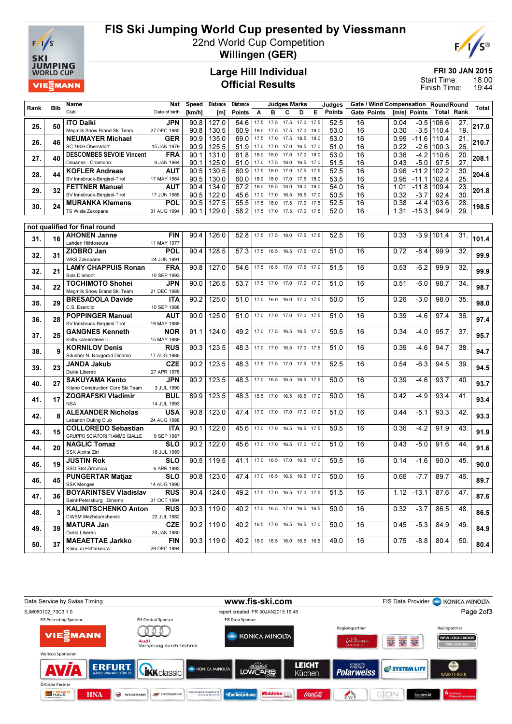

# FIS Ski Jumping World Cup presented by Viessmann

22nd World Cup Competition



Willingen (GER)

### Large Hill Individual Official Results

FRI 30 JAN 2015

18:00 19:44 Start Time: Finish Time:

|      |            | Name                                                   | Nat                      | Speed        | Distance       | Distance                      |      |                          | Judges Marks |                |              | Judges        | Gate / Wind Compensation Round Round |              |                   |               |                   |       |
|------|------------|--------------------------------------------------------|--------------------------|--------------|----------------|-------------------------------|------|--------------------------|--------------|----------------|--------------|---------------|--------------------------------------|--------------|-------------------|---------------|-------------------|-------|
| Rank | <b>Bib</b> | Club                                                   | Date of birth            | [km/h]       | [m]            | <b>Points</b>                 | Α    | в                        | c            | D              | Е            | <b>Points</b> | Gate Points                          |              | [m/s] Points      |               | <b>Total Rank</b> | Total |
|      |            | <b>ITO Daiki</b>                                       | JPN                      | 90.8         | 127.0          | 54.6                          | 17.5 | 17.5                     | 17.5         | 17.0           | 17.5         | 52.5          | 16                                   | 0.04         |                   | $-0.5$ 106.6  | 27.               |       |
| 25.  | 50         | Megmilk Snow Brand Ski Team                            | 27 DEC 1985              | 90.8         | 130.5          | 60.9                          | 18.0 | 17.5                     | 17.5 17.0    |                | 18.0         | 53.0          | 16                                   | 0.30         |                   | $-3.5$ 110.4  | 19.               | 217.0 |
| 26.  | 46         | <b>NEUMAYER Michael</b>                                | GER                      | 90.9         | 135.0          | 69.0                          | 17.5 | 17.0                     | 17.5         | 18.5           | 18.0         | 53.0          | 16                                   | 0.99         |                   | $-11.6$ 110.4 | 21.               | 210.7 |
|      |            | SC 1906 Oberstdorf                                     | 15 JAN 1979              | 90.9         | 125.5          | 51.9                          | 17.0 | 17.0                     | 17.0         | 16.5           | 17.0         | 51.0          | 16                                   | 0.22         |                   | $-2.6$ 100.3  | 26.               |       |
| 27.  | 40         | <b>DESCOMBES SEVOIE Vincent</b>                        | <b>FRA</b>               | 90.1         | 131.0          | 61.8                          | 18.0 | 18.0                     | 17.0         | 17.0           | 18.0         | 53.0          | 16                                   | 0.36         | $-4.2$            | 110.6         | 20.               | 208.1 |
|      |            | Douanes - Chamonix                                     | 9 JAN 1984               | 90.1         | 125.0          | 51.0                          | 17.0 | 17.5                     | 18.0         | 16.5           | 17.0         | 51.5          | 16                                   | 0.43         | $-5.0$            | 97.5          | 27.               |       |
| 28.  | 44         | <b>KOFLER Andreas</b>                                  | AUT                      | 90.5         | 130.5          | 60.9                          | 17.5 | 18.0                     | 17.0         | 17.5           | 17.5         | 52.5          | 16                                   | 0.96         | $-11.2$           | 102.2         | 30.               | 204.6 |
|      |            | SV Innsbruck-Bergisel-Tirol                            | 17 MAY 1984              | 90.5         | 130.0          | 60.0                          | 18.0 | 18.0                     | 17.0         | 17.5           | 18.0         | 53.5          | 16                                   | 0.95         | $-11.1$           | 102.4         | 25.               |       |
| 29.  | 32         | <b>FETTNER Manuel</b><br>SV Innsbruck-Bergisel-Tirol   | AUT<br>17 JUN 1985       | 90.4<br>90.5 | 134.0<br>122.0 | 67.2<br>45.6                  | 18.0 | 18.5<br>17.0 17.0        | 18.0<br>16.5 | 18.0<br>16.5   | 18.0<br>17.0 | 54.0<br>50.5  | 16<br>16                             | 1.01<br>0.32 | $-11.8$<br>$-3.7$ | 109.4<br>92.4 | 23.<br>30.        | 201.8 |
|      |            | <b>MURANKA Klemens</b>                                 | POL                      | 90.5         | 127.5          | 55.5                          | 17.5 | 18.0                     | 17.5         | 17.0           | 17.5         | 52.5          | 16                                   | 0.38         | $-4.4$            | 103.6         | 28.               |       |
| 30.  | 24         | TS Wisla Zakopane                                      | 31 AUG 1994              | 90.1         | 129.0          | 58.2                          |      | 17.5 17.0                |              | 17.5 17.0 17.5 |              | 52.0          | 16                                   | 1.31         | $-15.3$           | 94.9          | 29.               | 198.5 |
|      |            |                                                        |                          |              |                |                               |      |                          |              |                |              |               |                                      |              |                   |               |                   |       |
|      |            | not qualified for final round                          |                          |              |                |                               |      |                          |              |                |              |               |                                      |              |                   |               |                   |       |
|      | 16         | <b>AHONEN Janne</b>                                    | <b>FIN</b>               | 90.4         | 126.0          | 52.8                          |      | 17.5 17.5 18.0 17.5 17.5 |              |                |              | 52.5          | 16                                   | 0.33         | $-3.9$            | 101.4         | 31.               |       |
| 31.  |            | Lahden Hiihtoseura                                     | 11 MAY 1977              |              |                |                               |      |                          |              |                |              |               |                                      |              |                   |               |                   | 101.4 |
| 32.  | 31         | ZIOBRO Jan                                             | POL                      | 90.4         | 128.5          | 57.3                          |      | 17.5 16.5                |              | 16.5 17.5 17.0 |              | 51.0          | 16                                   | 0.72         | $-8.4$            | 99.9          | 32.               | 99.9  |
|      |            | <b>WKS Zakopane</b>                                    | 24 JUN 1991              |              |                |                               |      |                          |              |                |              |               |                                      |              |                   |               |                   |       |
| 32.  | 21         | <b>LAMY CHAPPUIS Ronan</b>                             | <b>FRA</b>               | 90.8         | 127.0          | 54.6                          |      | 17.5 16.5 17.0 17.5 17.0 |              |                |              | 51.5          | 16                                   | 0.53         | $-6.2$            | 99.9          | 32.               | 99.9  |
|      |            | Bois D'amont                                           | 10 SEP 1993              |              |                |                               |      |                          |              |                |              |               |                                      |              |                   |               |                   |       |
| 34.  | 22         | <b>TOCHIMOTO Shohei</b><br>Megmilk Snow Brand Ski Team | JPN<br>21 DEC 1989       | 90.0         | 126.5          | 53.7                          |      | 17.5 17.0 17.0 17.0 17.0 |              |                |              | 51.0          | 16                                   | 0.51         | $-6.0$            | 98.7          | $\overline{34}$ . | 98.7  |
|      |            | <b>BRESADOLA Davide</b>                                | ITA                      | 90.2         | 125.0          | 51.0                          |      | 17.0 16.0 16.0 17.0 17.5 |              |                |              | 50.0          | 16                                   | 0.26         | $-3.0$            | 98.0          | 35.               |       |
| 35.  | 29         | C.S. Esercito                                          | 10 SEP 1988              |              |                |                               |      |                          |              |                |              |               |                                      |              |                   |               |                   | 98.0  |
|      |            | <b>POPPINGER Manuel</b>                                | AUT                      | 90.0         | 125.0          | 51.0                          |      | 17.0 17.0 17.0 17.0 17.5 |              |                |              | 51.0          | 16                                   | 0.39         | $-4.6$            | 97.4          | 36.               |       |
| 36.  | 28         | SV Innsbruck-Bergisel-Tirol                            | 19 MAY 1989              |              |                |                               |      |                          |              |                |              |               |                                      |              |                   |               |                   | 97.4  |
| 37.  | 25         | <b>GANGNES Kenneth</b>                                 | <b>NOR</b>               | 91.1         | 124.0          | 49.2                          |      | 17.0 17.5 16.5 16.5 17.0 |              |                |              | 50.5          | 16                                   | 0.34         | $-4.0$            | 95.7          | 37.               | 95.7  |
|      |            | Kolbukameratene IL                                     | 15 MAY 1989              |              |                |                               |      |                          |              |                |              |               |                                      |              |                   |               |                   |       |
| 38.  | 9          | <b>KORNILOV Denis</b>                                  | <b>RUS</b>               | 90.3         | 123.5          | 48.3                          |      | 17.0 17.0                | 16.5 17.0    |                | 17.5         | 51.0          | 16                                   | 0.39         | $-4.6$            | 94.7          | 38.               | 94.7  |
|      |            | Sdushor N. Novgorod Dinamo                             | 17 AUG 1986              |              |                |                               |      |                          |              |                |              |               |                                      |              |                   |               |                   |       |
| 39.  | 23         | JANDA Jakub                                            | <b>CZE</b>               | 90.2         | 123.5          | 48.3                          |      | 17.5 17.5 17.0 17.5 17.5 |              |                |              | 52.5          | 16                                   | 0.54         | $-6.3$            | 94.5          | 39.               | 94.5  |
|      |            | Dukla Liberec<br><b>SAKUYAMA Kento</b>                 | 27 APR 1978<br>JPN       | 90.2         | 123.5          | 48.3                          | 17.0 | 16.5                     | 16.5         | 16.5 17.5      |              | 50.0          | 16                                   | 0.39         | $-4.6$            | 93.7          | 40.               |       |
| 40.  | 27         | Kitano Construction Corp. Ski Team                     | 3 JUL 1990               |              |                |                               |      |                          |              |                |              |               |                                      |              |                   |               |                   | 93.7  |
|      |            | <b>ZOGRAFSKI Vladimir</b>                              | BUL                      | 89.9         | 123.5          | 48.3                          |      | 16.5 17.0 16.5 16.5 17.0 |              |                |              | 50.0          | 16                                   | 0.42         | $-4.9$            | 93.4          | 41.               |       |
| 41.  | 17         | <b>NSA</b>                                             | 14 JUL 1993              |              |                |                               |      |                          |              |                |              |               |                                      |              |                   |               |                   | 93.4  |
|      |            | <b>ALEXANDER Nicholas</b>                              | <b>USA</b>               | 90.8         | 123.0          | 47.4                          |      | 17.0 17.0 17.0 17.0 17.0 |              |                |              | 51.0          | 16                                   | 0.44         | $-5.1$            | 93.3          | 42.               |       |
| 42.  | 8          | Lebanon Outing Club                                    | 24 AUG 1988              |              |                |                               |      |                          |              |                |              |               |                                      |              |                   |               |                   | 93.3  |
| 43.  | 15         | <b>COLLOREDO Sebastian</b>                             | ITA                      | 90.1         | 122.0          | 45.6                          |      | 17.0 17.0 16.5 16.5 17.5 |              |                |              | 50.5          | 16                                   | 0.36         | $-4.2$            | 91.9          | 43.               | 91.9  |
|      |            | GRUPPO SCIATORI FIAMME GIALLE                          | 9 SEP 1987               |              |                |                               |      |                          |              |                |              |               |                                      |              |                   |               |                   |       |
| 44.  | 20         | <b>NAGLIC Tomaz</b>                                    | SLO                      | 90.2         | 122.0          | 45.6                          |      | 17.0 17.0 16.5 17.0 17.0 |              |                |              | 51.0          | 16                                   | 0.43         | $-5.0$            | 91.6          | 44.               | 91.6  |
|      |            | SSK Alpina Ziri                                        | 18 JUL 1989              |              |                |                               |      |                          |              |                |              |               |                                      |              |                   |               |                   |       |
| 45.  | 19         | <b>JUSTIN Rok</b><br>SSD Stol Zirovnica                | <b>SLO</b><br>6 APR 1993 | 90.5         | 119.5          | 41.1                          |      | 17.0 16.5 17.0 16.5 17.0 |              |                |              | 50.5          | 16                                   | 0.14         | $-1.6$            | 90.0          | 45.               | 90.0  |
|      |            | <b>PUNGERTAR Matjaz</b>                                | <b>SLO</b>               | 90.8         | 123.0          | 47.4                          |      | 17.0 16.5 16.5 16.5 17.0 |              |                |              | 50.0          | 16                                   | 0.66         | $-7.7$            | 89.7          | 46.               |       |
| 46.  | 45         | <b>SSK Menges</b>                                      | 14 AUG 1990              |              |                |                               |      |                          |              |                |              |               |                                      |              |                   |               |                   | 89.7  |
|      |            | <b>BOYARINTSEV Vladislav</b>                           | <b>RUS</b>               | 90.4         | 124.0          | 49.2                          |      | 17.5 17.0 16.5 17.0 17.5 |              |                |              | 51.5          | 16                                   |              | $1.12 - 13.1$     | 87.6          | 47.               |       |
| 47.  | 36         | Saint-Petersburg Dinamo                                | 31 OCT 1994              |              |                |                               |      |                          |              |                |              |               |                                      |              |                   |               |                   | 87.6  |
| 48.  | 3          | <b>KALINITSCHENKO Anton</b>                            | <b>RUS</b>               |              | $90.3$   119.0 | 40.2 17.0 16.5 17.0 16.5 16.5 |      |                          |              |                |              | 50.0          | 16                                   | 0.32         | $-3.7$            | 86.5          | 48.               | 86.5  |
|      |            | <b>CWSM Mezhdurechensk</b>                             | 22 JUL 1982              |              |                |                               |      |                          |              |                |              |               |                                      |              |                   |               |                   |       |
| 49.  | 39         | <b>MATURA Jan</b>                                      | <b>CZE</b>               |              | $90.2$   119.0 | 40.2                          |      | 16.5 17.0 16.5 16.5 17.0 |              |                |              | 50.0          | 16                                   | 0.45         | $-5.3$            | 84.9          | 49.               | 84.9  |
|      |            | Dukla Liberec                                          | 29 JAN 1980              |              |                |                               |      |                          |              |                |              |               |                                      |              |                   |               |                   |       |
| 50.  | 37         | <b>MAEAETTAE Jarkko</b>                                | FIN                      |              | $90.3$   119.0 | 40.2                          |      | 16.0 16.5 16.0 16.5 16.5 |              |                |              | 49.0          | 16                                   | 0.75         | -8.8              | 80.4          | 50.               | 80.4  |
|      |            | Kainuun Hiihtoseura                                    | 28 DEC 1994              |              |                |                               |      |                          |              |                |              |               |                                      |              |                   |               |                   |       |